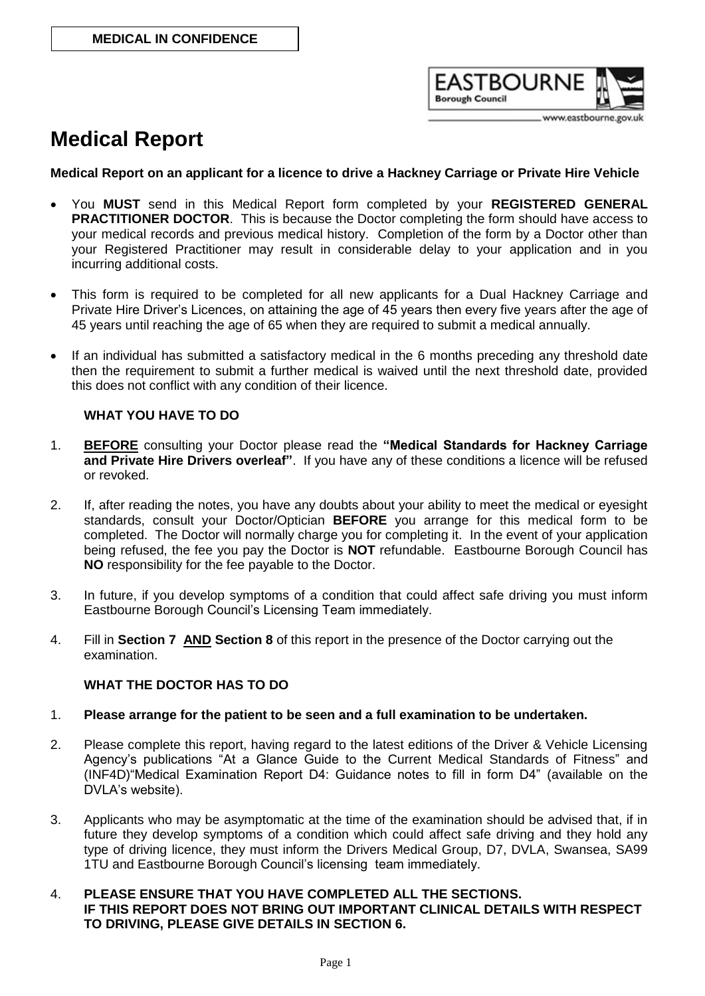

www.eastbourne.gov.uk

# **Medical Report**

# **Medical Report on an applicant for a licence to drive a Hackney Carriage or Private Hire Vehicle**

- You **MUST** send in this Medical Report form completed by your **REGISTERED GENERAL PRACTITIONER DOCTOR**. This is because the Doctor completing the form should have access to your medical records and previous medical history. Completion of the form by a Doctor other than your Registered Practitioner may result in considerable delay to your application and in you incurring additional costs.
- This form is required to be completed for all new applicants for a Dual Hackney Carriage and Private Hire Driver's Licences, on attaining the age of 45 years then every five years after the age of 45 years until reaching the age of 65 when they are required to submit a medical annually.
- If an individual has submitted a satisfactory medical in the 6 months preceding any threshold date then the requirement to submit a further medical is waived until the next threshold date, provided this does not conflict with any condition of their licence.

# **WHAT YOU HAVE TO DO**

- 1. **BEFORE** consulting your Doctor please read the **"Medical Standards for Hackney Carriage and Private Hire Drivers overleaf"**. If you have any of these conditions a licence will be refused or revoked.
- 2. If, after reading the notes, you have any doubts about your ability to meet the medical or eyesight standards, consult your Doctor/Optician **BEFORE** you arrange for this medical form to be completed. The Doctor will normally charge you for completing it. In the event of your application being refused, the fee you pay the Doctor is **NOT** refundable. Eastbourne Borough Council has **NO** responsibility for the fee payable to the Doctor.
- 3. In future, if you develop symptoms of a condition that could affect safe driving you must inform Eastbourne Borough Council's Licensing Team immediately.
- 4. Fill in **Section 7 AND Section 8** of this report in the presence of the Doctor carrying out the examination.

# **WHAT THE DOCTOR HAS TO DO**

# 1. **Please arrange for the patient to be seen and a full examination to be undertaken.**

- 2. Please complete this report, having regard to the latest editions of the Driver & Vehicle Licensing Agency's publications "At a Glance Guide to the Current Medical Standards of Fitness" and (INF4D)"Medical Examination Report D4: Guidance notes to fill in form D4" (available on the DVLA's website).
- 3. Applicants who may be asymptomatic at the time of the examination should be advised that, if in future they develop symptoms of a condition which could affect safe driving and they hold any type of driving licence, they must inform the Drivers Medical Group, D7, DVLA, Swansea, SA99 1TU and Eastbourne Borough Council's licensing team immediately.

#### 4. **PLEASE ENSURE THAT YOU HAVE COMPLETED ALL THE SECTIONS. IF THIS REPORT DOES NOT BRING OUT IMPORTANT CLINICAL DETAILS WITH RESPECT TO DRIVING, PLEASE GIVE DETAILS IN SECTION 6.**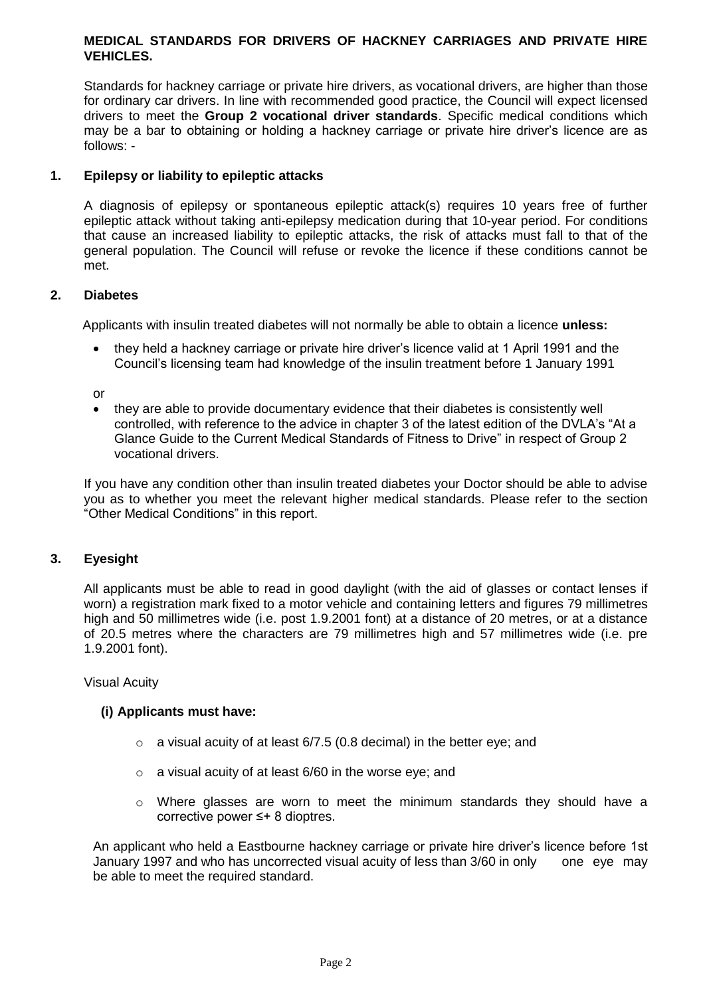# **MEDICAL STANDARDS FOR DRIVERS OF HACKNEY CARRIAGES AND PRIVATE HIRE VEHICLES.**

Standards for hackney carriage or private hire drivers, as vocational drivers, are higher than those for ordinary car drivers. In line with recommended good practice, the Council will expect licensed drivers to meet the **Group 2 vocational driver standards**. Specific medical conditions which may be a bar to obtaining or holding a hackney carriage or private hire driver's licence are as follows: -

# **1. Epilepsy or liability to epileptic attacks**

A diagnosis of epilepsy or spontaneous epileptic attack(s) requires 10 years free of further epileptic attack without taking anti-epilepsy medication during that 10-year period. For conditions that cause an increased liability to epileptic attacks, the risk of attacks must fall to that of the general population. The Council will refuse or revoke the licence if these conditions cannot be met.

# **2. Diabetes**

Applicants with insulin treated diabetes will not normally be able to obtain a licence **unless:** 

 they held a hackney carriage or private hire driver's licence valid at 1 April 1991 and the Council's licensing team had knowledge of the insulin treatment before 1 January 1991

or

 they are able to provide documentary evidence that their diabetes is consistently well controlled, with reference to the advice in chapter 3 of the latest edition of the DVLA's "At a Glance Guide to the Current Medical Standards of Fitness to Drive" in respect of Group 2 vocational drivers.

If you have any condition other than insulin treated diabetes your Doctor should be able to advise you as to whether you meet the relevant higher medical standards. Please refer to the section "Other Medical Conditions" in this report.

# **3. Eyesight**

All applicants must be able to read in good daylight (with the aid of glasses or contact lenses if worn) a registration mark fixed to a motor vehicle and containing letters and figures 79 millimetres high and 50 millimetres wide (i.e. post 1.9.2001 font) at a distance of 20 metres, or at a distance of 20.5 metres where the characters are 79 millimetres high and 57 millimetres wide (i.e. pre 1.9.2001 font).

Visual Acuity

#### **(i) Applicants must have:**

- $\circ$  a visual acuity of at least 6/7.5 (0.8 decimal) in the better eye; and
- o a visual acuity of at least 6/60 in the worse eye; and
- $\circ$  Where glasses are worn to meet the minimum standards they should have a corrective power ≤+ 8 dioptres.

An applicant who held a Eastbourne hackney carriage or private hire driver's licence before 1st January 1997 and who has uncorrected visual acuity of less than 3/60 in only one eye may be able to meet the required standard.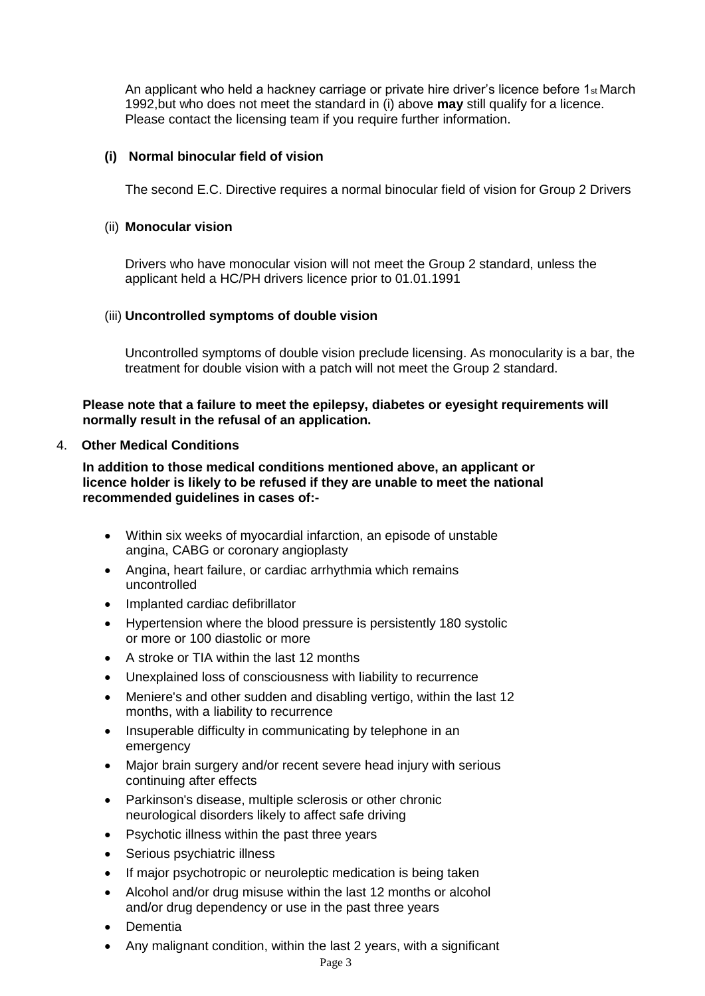An applicant who held a hackney carriage or private hire driver's licence before 1st March 1992,but who does not meet the standard in (i) above **may** still qualify for a licence. Please contact the licensing team if you require further information.

# **(i) Normal binocular field of vision**

The second E.C. Directive requires a normal binocular field of vision for Group 2 Drivers

# (ii) **Monocular vision**

Drivers who have monocular vision will not meet the Group 2 standard, unless the applicant held a HC/PH drivers licence prior to 01.01.1991

# (iii) **Uncontrolled symptoms of double vision**

Uncontrolled symptoms of double vision preclude licensing. As monocularity is a bar, the treatment for double vision with a patch will not meet the Group 2 standard.

# **Please note that a failure to meet the epilepsy, diabetes or eyesight requirements will normally result in the refusal of an application.**

# 4. **Other Medical Conditions**

**In addition to those medical conditions mentioned above, an applicant or licence holder is likely to be refused if they are unable to meet the national recommended guidelines in cases of:-**

- Within six weeks of myocardial infarction, an episode of unstable angina, CABG or coronary angioplasty
- Angina, heart failure, or cardiac arrhythmia which remains uncontrolled
- Implanted cardiac defibrillator
- Hypertension where the blood pressure is persistently 180 systolic or more or 100 diastolic or more
- A stroke or TIA within the last 12 months
- Unexplained loss of consciousness with liability to recurrence
- Meniere's and other sudden and disabling vertigo, within the last 12 months, with a liability to recurrence
- Insuperable difficulty in communicating by telephone in an emergency
- Major brain surgery and/or recent severe head injury with serious continuing after effects
- Parkinson's disease, multiple sclerosis or other chronic neurological disorders likely to affect safe driving
- Psychotic illness within the past three years
- Serious psychiatric illness
- If major psychotropic or neuroleptic medication is being taken
- Alcohol and/or drug misuse within the last 12 months or alcohol and/or drug dependency or use in the past three years
- Dementia
- Any malignant condition, within the last 2 years, with a significant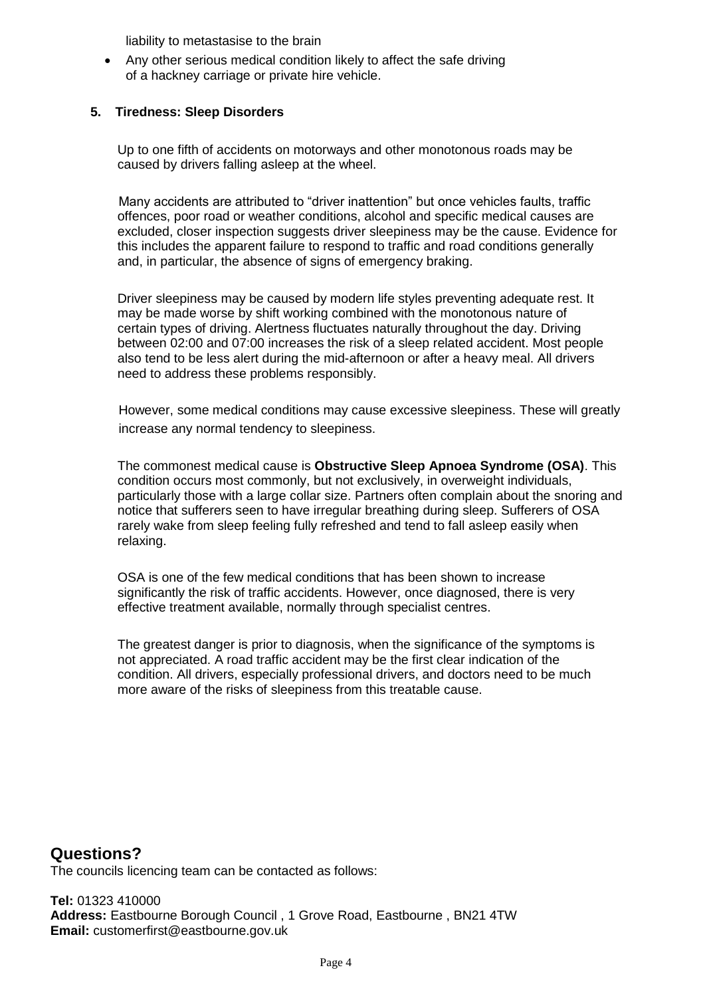liability to metastasise to the brain

 Any other serious medical condition likely to affect the safe driving of a hackney carriage or private hire vehicle.

# **5. Tiredness: Sleep Disorders**

Up to one fifth of accidents on motorways and other monotonous roads may be caused by drivers falling asleep at the wheel.

 Many accidents are attributed to "driver inattention" but once vehicles faults, traffic offences, poor road or weather conditions, alcohol and specific medical causes are excluded, closer inspection suggests driver sleepiness may be the cause. Evidence for this includes the apparent failure to respond to traffic and road conditions generally and, in particular, the absence of signs of emergency braking.

Driver sleepiness may be caused by modern life styles preventing adequate rest. It may be made worse by shift working combined with the monotonous nature of certain types of driving. Alertness fluctuates naturally throughout the day. Driving between 02:00 and 07:00 increases the risk of a sleep related accident. Most people also tend to be less alert during the mid-afternoon or after a heavy meal. All drivers need to address these problems responsibly.

 However, some medical conditions may cause excessive sleepiness. These will greatly increase any normal tendency to sleepiness.

The commonest medical cause is **Obstructive Sleep Apnoea Syndrome (OSA)**. This condition occurs most commonly, but not exclusively, in overweight individuals, particularly those with a large collar size. Partners often complain about the snoring and notice that sufferers seen to have irregular breathing during sleep. Sufferers of OSA rarely wake from sleep feeling fully refreshed and tend to fall asleep easily when relaxing.

OSA is one of the few medical conditions that has been shown to increase significantly the risk of traffic accidents. However, once diagnosed, there is very effective treatment available, normally through specialist centres.

The greatest danger is prior to diagnosis, when the significance of the symptoms is not appreciated. A road traffic accident may be the first clear indication of the condition. All drivers, especially professional drivers, and doctors need to be much more aware of the risks of sleepiness from this treatable cause.

# **Questions?**

The councils licencing team can be contacted as follows:

**Tel:** 01323 410000 **Address:** Eastbourne Borough Council , 1 Grove Road, Eastbourne , BN21 4TW **Email:** customerfirst@eastbourne.gov.uk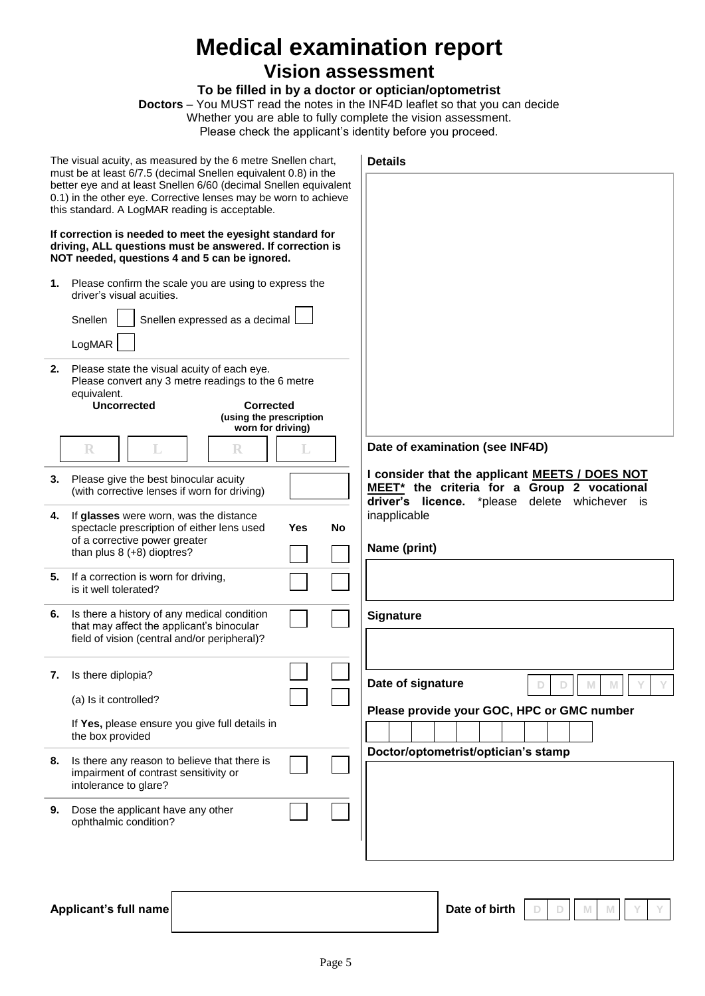# **Medical examination report**

# **Vision assessment**

# **To be filled in by a doctor or optician/optometrist**

**Doctors** – You MUST read the notes in the INF4D leaflet so that you can decide

Whether you are able to fully complete the vision assessment.

Please check the applicant's identity before you proceed.

|                                                                                                                                                                                       | The visual acuity, as measured by the 6 metre Snellen chart,<br>must be at least 6/7.5 (decimal Snellen equivalent 0.8) in the                                                                                       |    | <b>Details</b>                                                                                                                                 |
|---------------------------------------------------------------------------------------------------------------------------------------------------------------------------------------|----------------------------------------------------------------------------------------------------------------------------------------------------------------------------------------------------------------------|----|------------------------------------------------------------------------------------------------------------------------------------------------|
| better eye and at least Snellen 6/60 (decimal Snellen equivalent<br>0.1) in the other eye. Corrective lenses may be worn to achieve<br>this standard. A LogMAR reading is acceptable. |                                                                                                                                                                                                                      |    |                                                                                                                                                |
|                                                                                                                                                                                       | If correction is needed to meet the eyesight standard for<br>driving, ALL questions must be answered. If correction is<br>NOT needed, questions 4 and 5 can be ignored.                                              |    |                                                                                                                                                |
| 1.                                                                                                                                                                                    | Please confirm the scale you are using to express the<br>driver's visual acuities.<br>Snellen<br>Snellen expressed as a decimal                                                                                      |    |                                                                                                                                                |
| 2.                                                                                                                                                                                    | LogMAR<br>Please state the visual acuity of each eye.<br>Please convert any 3 metre readings to the 6 metre<br>equivalent.<br><b>Uncorrected</b><br><b>Corrected</b><br>(using the prescription<br>worn for driving) |    |                                                                                                                                                |
|                                                                                                                                                                                       | $\mathbb R$<br>L<br>R<br>L                                                                                                                                                                                           |    | Date of examination (see INF4D)                                                                                                                |
| 3.                                                                                                                                                                                    | Please give the best binocular acuity<br>(with corrective lenses if worn for driving)                                                                                                                                |    | I consider that the applicant MEETS / DOES NOT<br>MEET* the criteria for a Group 2 vocational<br>driver's licence. *please delete whichever is |
| 4.                                                                                                                                                                                    | If glasses were worn, was the distance<br>spectacle prescription of either lens used<br>Yes<br>of a corrective power greater<br>than plus 8 (+8) dioptres?                                                           | No | inapplicable<br>Name (print)                                                                                                                   |
| 5.                                                                                                                                                                                    | If a correction is worn for driving,<br>is it well tolerated?                                                                                                                                                        |    |                                                                                                                                                |
| 6.                                                                                                                                                                                    | Is there a history of any medical condition<br>that may affect the applicant's binocular<br>field of vision (central and/or peripheral)?                                                                             |    | <b>Signature</b>                                                                                                                               |
|                                                                                                                                                                                       | 7. Is there diplopia?                                                                                                                                                                                                |    | Date of signature                                                                                                                              |
|                                                                                                                                                                                       | (a) Is it controlled?<br>If Yes, please ensure you give full details in<br>the box provided                                                                                                                          |    | Please provide your GOC, HPC or GMC number                                                                                                     |
| 8.                                                                                                                                                                                    | Is there any reason to believe that there is<br>impairment of contrast sensitivity or<br>intolerance to glare?                                                                                                       |    | Doctor/optometrist/optician's stamp                                                                                                            |
| 9.                                                                                                                                                                                    | Dose the applicant have any other<br>ophthalmic condition?                                                                                                                                                           |    |                                                                                                                                                |
|                                                                                                                                                                                       |                                                                                                                                                                                                                      |    |                                                                                                                                                |

Applicant's full name **Date of birth** 

**D D M M Y Y**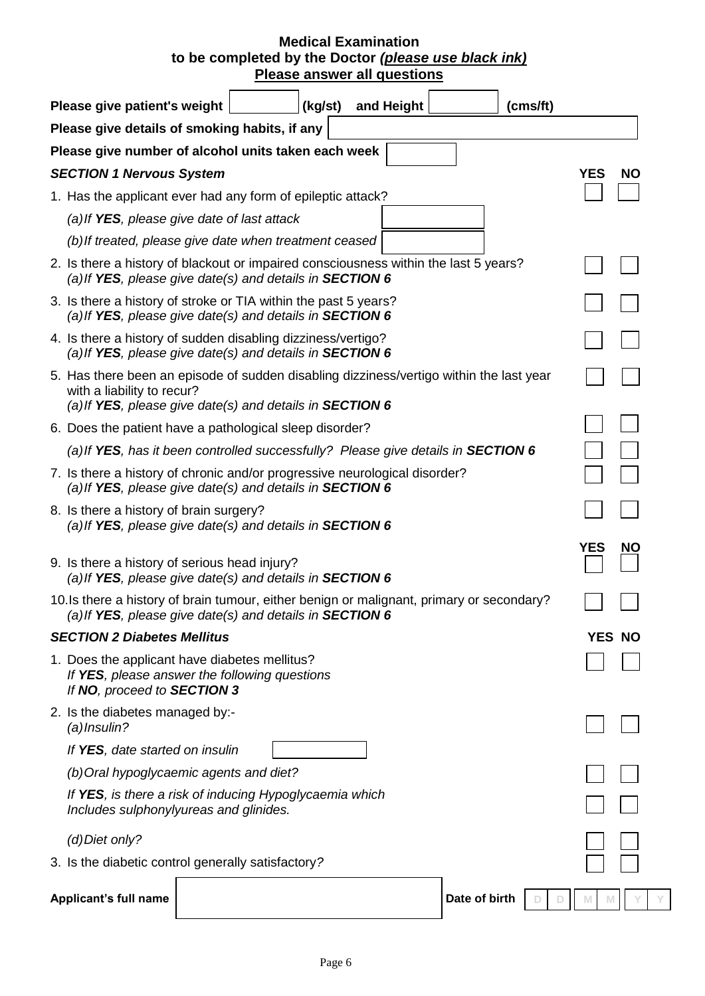# **Medical Examination to be completed by the Doctor** *(please use black ink)* **Please answer all questions**

| Please give patient's weight                                                                                                                                                      | (kg/st) | and Height | (cms/ft)                |               |           |
|-----------------------------------------------------------------------------------------------------------------------------------------------------------------------------------|---------|------------|-------------------------|---------------|-----------|
| Please give details of smoking habits, if any                                                                                                                                     |         |            |                         |               |           |
| Please give number of alcohol units taken each week                                                                                                                               |         |            |                         |               |           |
| <b>SECTION 1 Nervous System</b>                                                                                                                                                   |         |            |                         | <b>YES</b>    | <b>NO</b> |
| 1. Has the applicant ever had any form of epileptic attack?                                                                                                                       |         |            |                         |               |           |
| (a) If YES, please give date of last attack                                                                                                                                       |         |            |                         |               |           |
| (b) If treated, please give date when treatment ceased                                                                                                                            |         |            |                         |               |           |
| 2. Is there a history of blackout or impaired consciousness within the last 5 years?<br>(a) If YES, please give date(s) and details in SECTION 6                                  |         |            |                         |               |           |
| 3. Is there a history of stroke or TIA within the past 5 years?<br>(a) If YES, please give date(s) and details in SECTION 6                                                       |         |            |                         |               |           |
| 4. Is there a history of sudden disabling dizziness/vertigo?<br>(a) If YES, please give date(s) and details in SECTION 6                                                          |         |            |                         |               |           |
| 5. Has there been an episode of sudden disabling dizziness/vertigo within the last year<br>with a liability to recur?<br>(a) If YES, please give date(s) and details in SECTION 6 |         |            |                         |               |           |
| 6. Does the patient have a pathological sleep disorder?                                                                                                                           |         |            |                         |               |           |
| (a) If YES, has it been controlled successfully? Please give details in SECTION 6                                                                                                 |         |            |                         |               |           |
| 7. Is there a history of chronic and/or progressive neurological disorder?<br>(a) If YES, please give date(s) and details in SECTION 6                                            |         |            |                         |               |           |
| 8. Is there a history of brain surgery?<br>(a) If YES, please give date(s) and details in SECTION 6                                                                               |         |            |                         |               |           |
| 9. Is there a history of serious head injury?<br>(a) If YES, please give date(s) and details in SECTION 6                                                                         |         |            |                         | YES           | <b>NO</b> |
| 10. Is there a history of brain tumour, either benign or malignant, primary or secondary?<br>(a) If YES, please give date(s) and details in SECTION 6                             |         |            |                         |               |           |
| <b>SECTION 2 Diabetes Mellitus</b>                                                                                                                                                |         |            |                         | <b>YES NO</b> |           |
| 1. Does the applicant have diabetes mellitus?<br>If YES, please answer the following questions<br>If NO, proceed to SECTION 3                                                     |         |            |                         |               |           |
| 2. Is the diabetes managed by:-<br>$(a)$ Insulin?                                                                                                                                 |         |            |                         |               |           |
| If YES, date started on insulin                                                                                                                                                   |         |            |                         |               |           |
| (b) Oral hypoglycaemic agents and diet?                                                                                                                                           |         |            |                         |               |           |
| If YES, is there a risk of inducing Hypoglycaemia which<br>Includes sulphonylyureas and glinides.                                                                                 |         |            |                         |               |           |
| (d) Diet only?                                                                                                                                                                    |         |            |                         |               |           |
| 3. Is the diabetic control generally satisfactory?                                                                                                                                |         |            |                         |               |           |
| Applicant's full name                                                                                                                                                             |         |            | Date of birth<br>D<br>D | M<br>M        |           |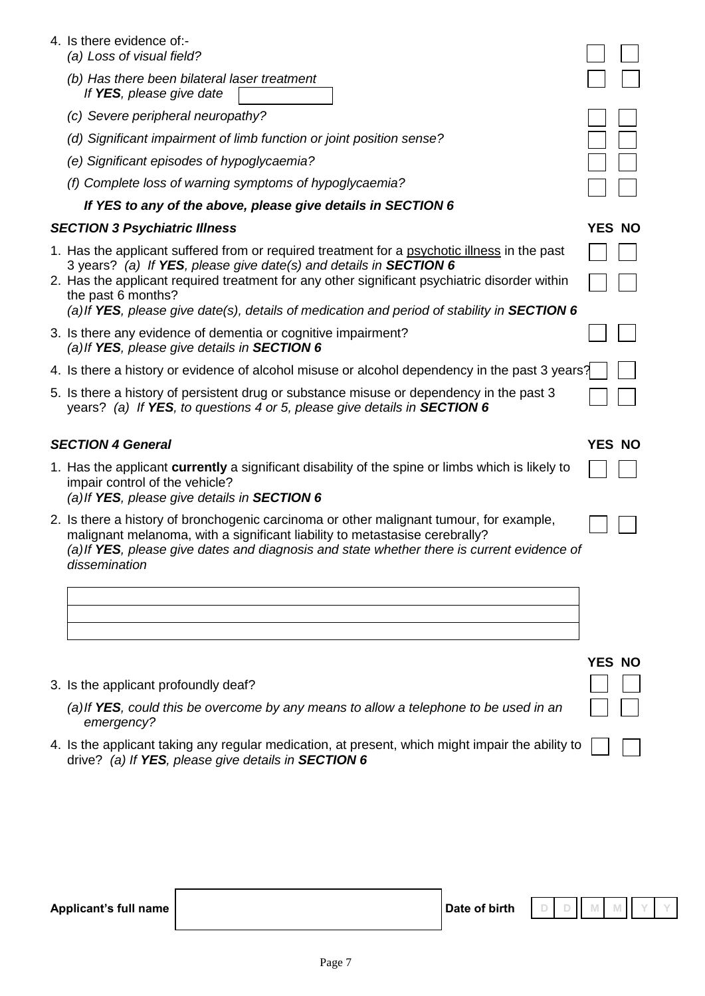| 4. Is there evidence of:-<br>(a) Loss of visual field?                                                                                                                                                                                                                                |               |  |
|---------------------------------------------------------------------------------------------------------------------------------------------------------------------------------------------------------------------------------------------------------------------------------------|---------------|--|
| (b) Has there been bilateral laser treatment<br>If YES, please give date                                                                                                                                                                                                              |               |  |
| (c) Severe peripheral neuropathy?                                                                                                                                                                                                                                                     |               |  |
| (d) Significant impairment of limb function or joint position sense?                                                                                                                                                                                                                  |               |  |
| (e) Significant episodes of hypoglycaemia?                                                                                                                                                                                                                                            |               |  |
| (f) Complete loss of warning symptoms of hypoglycaemia?                                                                                                                                                                                                                               |               |  |
| If YES to any of the above, please give details in SECTION 6                                                                                                                                                                                                                          |               |  |
| <b>SECTION 3 Psychiatric Illness</b>                                                                                                                                                                                                                                                  | YES NO        |  |
| 1. Has the applicant suffered from or required treatment for a psychotic illness in the past<br>3 years? (a) If YES, please give date(s) and details in SECTION 6                                                                                                                     |               |  |
| 2. Has the applicant required treatment for any other significant psychiatric disorder within<br>the past 6 months?                                                                                                                                                                   |               |  |
| (a) If YES, please give date(s), details of medication and period of stability in SECTION 6                                                                                                                                                                                           |               |  |
| 3. Is there any evidence of dementia or cognitive impairment?<br>(a) If YES, please give details in SECTION 6                                                                                                                                                                         |               |  |
| 4. Is there a history or evidence of alcohol misuse or alcohol dependency in the past 3 years?                                                                                                                                                                                        |               |  |
| 5. Is there a history of persistent drug or substance misuse or dependency in the past 3<br>years? (a) If YES, to questions 4 or 5, please give details in SECTION 6                                                                                                                  |               |  |
| <b>SECTION 4 General</b>                                                                                                                                                                                                                                                              | <b>YES NO</b> |  |
| 1. Has the applicant currently a significant disability of the spine or limbs which is likely to<br>impair control of the vehicle?<br>(a) If YES, please give details in SECTION 6                                                                                                    |               |  |
| 2. Is there a history of bronchogenic carcinoma or other malignant tumour, for example,<br>malignant melanoma, with a significant liability to metastasise cerebrally?<br>(a) If YES, please give dates and diagnosis and state whether there is current evidence of<br>dissemination |               |  |
|                                                                                                                                                                                                                                                                                       |               |  |
|                                                                                                                                                                                                                                                                                       |               |  |
|                                                                                                                                                                                                                                                                                       |               |  |
|                                                                                                                                                                                                                                                                                       |               |  |

3. Is the applicant profoundly deaf?

*(a)If YES, could this be overcome by any means to allow a telephone to be used in an emergency?*

4. Is the applicant taking any regular medication, at present, which might impair the ability to drive? *(a) If YES, please give details in SECTION 6*

| Applicant's full name | Date of birth | $D$ D | $\mathbf{\mathcal{L}}$ |  |  |
|-----------------------|---------------|-------|------------------------|--|--|
|                       |               |       |                        |  |  |

**YES NO**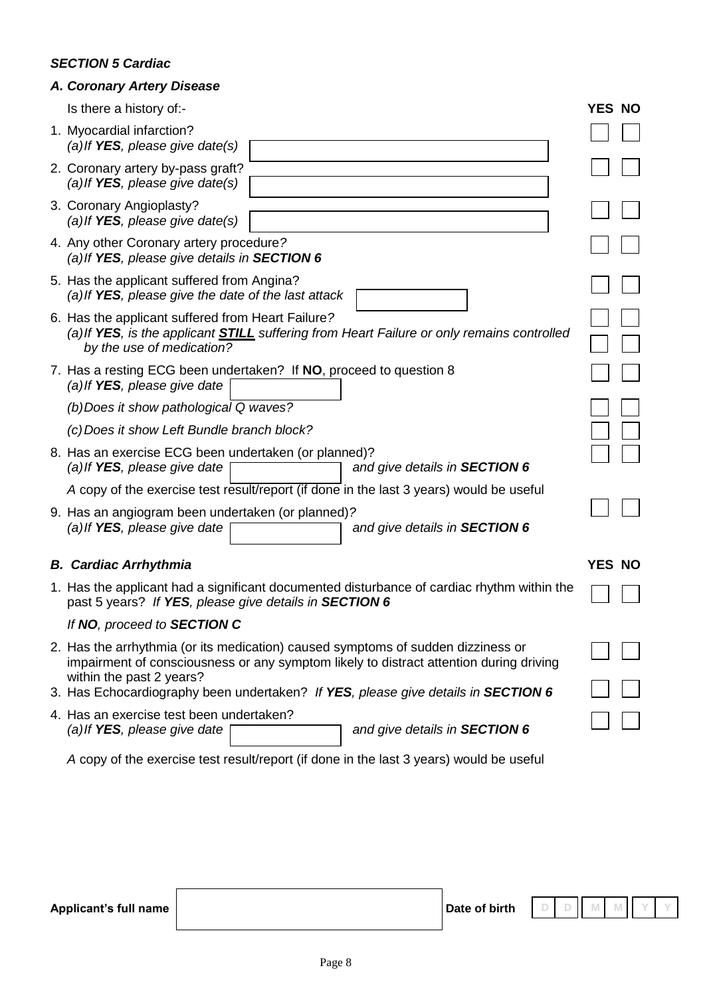# *SECTION 5 Cardiac*

# *A. Coronary Artery Disease*

Is there a history of:- **YES NO**

| io liigid a moldi y on.                                                                                                                                                      |        |  |
|------------------------------------------------------------------------------------------------------------------------------------------------------------------------------|--------|--|
| 1. Myocardial infarction?<br>(a) If $YES$ , please give date(s)                                                                                                              |        |  |
| 2. Coronary artery by-pass graft?<br>(a) If YES, please give date(s)                                                                                                         |        |  |
| 3. Coronary Angioplasty?<br>(a) If $YES$ , please give date(s)                                                                                                               |        |  |
| 4. Any other Coronary artery procedure?<br>(a) If YES, please give details in SECTION 6                                                                                      |        |  |
| 5. Has the applicant suffered from Angina?<br>(a) If YES, please give the date of the last attack                                                                            |        |  |
| 6. Has the applicant suffered from Heart Failure?<br>(a) If YES, is the applicant STILL suffering from Heart Failure or only remains controlled<br>by the use of medication? |        |  |
| 7. Has a resting ECG been undertaken? If NO, proceed to question 8<br>(a) If YES, please give date                                                                           |        |  |
| (b) Does it show pathological Q waves?                                                                                                                                       |        |  |
| (c) Does it show Left Bundle branch block?                                                                                                                                   |        |  |
| 8. Has an exercise ECG been undertaken (or planned)?<br>(a) If YES, please give date<br>and give details in <b>SECTION 6</b>                                                 |        |  |
| A copy of the exercise test result/report (if done in the last 3 years) would be useful                                                                                      |        |  |
| 9. Has an angiogram been undertaken (or planned)?<br>(a) If YES, please give date<br>and give details in <b>SECTION 6</b>                                                    |        |  |
| <b>B. Cardiac Arrhythmia</b>                                                                                                                                                 | YES NO |  |
| 1. Has the applicant had a significant documented disturbance of cardiac rhythm within the<br>past 5 years? If YES, please give details in SECTION 6                         |        |  |
| If NO, proceed to SECTION C                                                                                                                                                  |        |  |
| 2. Has the arrhythmia (or its medication) caused symptoms of sudden dizziness or<br>impairment of consciousness or any symptom likely to distract attention during driving   |        |  |
| within the past 2 years?<br>3. Has Echocardiography been undertaken? If YES, please give details in SECTION 6                                                                |        |  |
| 4. Has an exercise test been undertaken?<br>and give details in <b>SECTION 6</b><br>(a) If YES, please give date                                                             |        |  |
| A copy of the exercise test result/report (if done in the last 3 years) would be useful                                                                                      |        |  |

**Applicant's full name definition of**  $\blacksquare$  **<b>Date of birth**  $\blacksquare$   $\blacksquare$   $\blacksquare$   $\blacksquare$   $\blacksquare$   $\blacksquare$   $\blacksquare$   $\blacksquare$   $\blacksquare$   $\blacksquare$   $\blacksquare$   $\blacksquare$   $\blacksquare$   $\blacksquare$   $\blacksquare$   $\blacksquare$   $\blacksquare$   $\blacksquare$   $\blacksquare$   $\blacksquare$   $\blacksquare$   $\blacksquare$   $\blacksquare$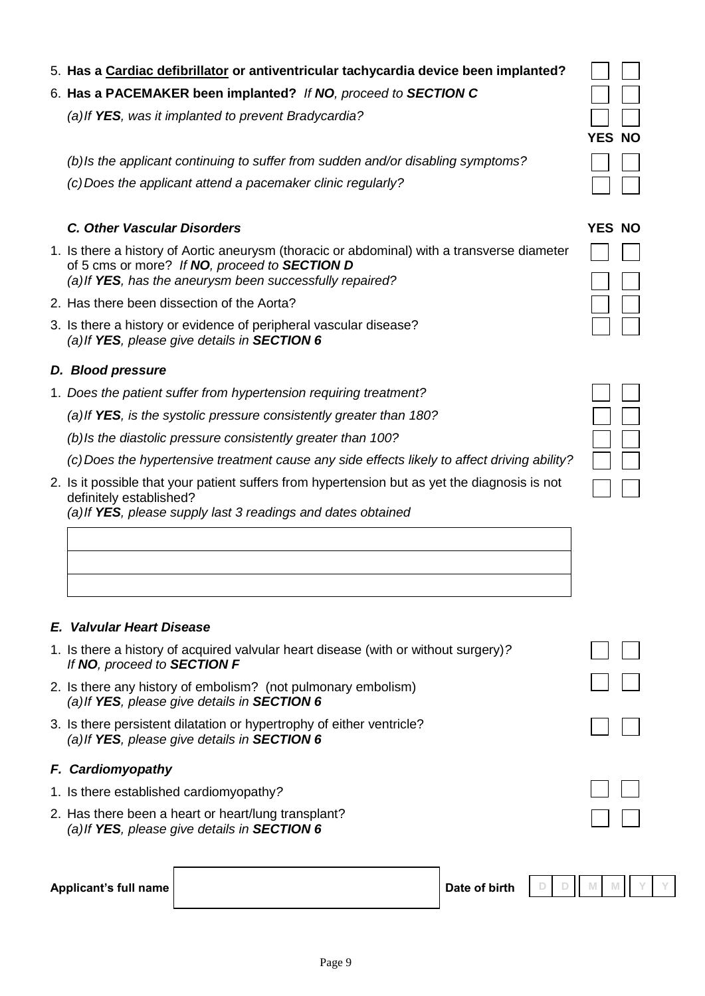# 5. **Has a Cardiac defibrillator or antiventricular tachycardia device been implanted?**

# 6. **Has a PACEMAKER been implanted?** *If NO, proceed to SECTION C*

*(a)If YES, was it implanted to prevent Bradycardia?*

*(b)Is the applicant continuing to suffer from sudden and/or disabling symptoms?*

*(c)Does the applicant attend a pacemaker clinic regularly?*

# *C. Other Vascular Disorders* **YES NO**

- 1. Is there a history of Aortic aneurysm (thoracic or abdominal) with a transverse diameter of 5 cms or more? *If NO, proceed to SECTION D (a)If YES, has the aneurysm been successfully repaired?*
- 2. Has there been dissection of the Aorta?
- 3. Is there a history or evidence of peripheral vascular disease? *(a)If YES, please give details in SECTION 6*

# *D. Blood pressure*

1. *Does the patient suffer from hypertension requiring treatment?*

*(a)If YES, is the systolic pressure consistently greater than 180?*

*(b)Is the diastolic pressure consistently greater than 100?*

*(c)Does the hypertensive treatment cause any side effects likely to affect driving ability?*

2. Is it possible that your patient suffers from hypertension but as yet the diagnosis is not definitely established? *(a)If YES, please supply last 3 readings and dates obtained*

# *E. Valvular Heart Disease*

- 1. Is there a history of acquired valvular heart disease (with or without surgery)*? If NO, proceed to SECTION F*
- 2. Is there any history of embolism? (not pulmonary embolism) *(a)If YES, please give details in SECTION 6*
- 3. Is there persistent dilatation or hypertrophy of either ventricle? *(a)If YES, please give details in SECTION 6*

# *F. Cardiomyopathy*

- 1. Is there established cardiomyopathy*?*
- 2. Has there been a heart or heart/lung transplant? *(a)If YES, please give details in SECTION 6*

#### **Applicant's full name dependent of birth**  $\blacksquare$  **Date of birth**



| YES | NΟ<br>Ì |
|-----|---------|
|     |         |
|     |         |
|     |         |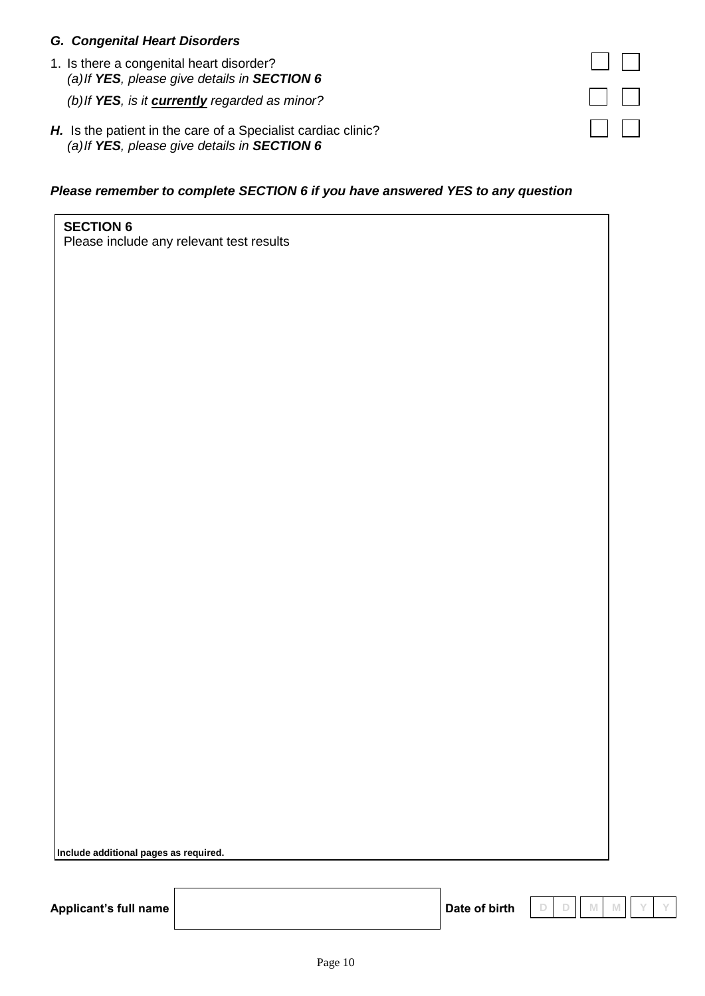# *G. Congenital Heart Disorders*

1. Is there a congenital heart disorder? *(a)If YES, please give details in SECTION 6*

*(b)If YES, is it currently regarded as minor?*

*H.* Is the patient in the care of a Specialist cardiac clinic? *(a)If YES, please give details in SECTION 6*

# *Please remember to complete SECTION 6 if you have answered YES to any question*

**SECTION 6** Please include any relevant test results

**Include additional pages as required.**

Applicant's full name **Date of birth** 

**D D M M Y Y**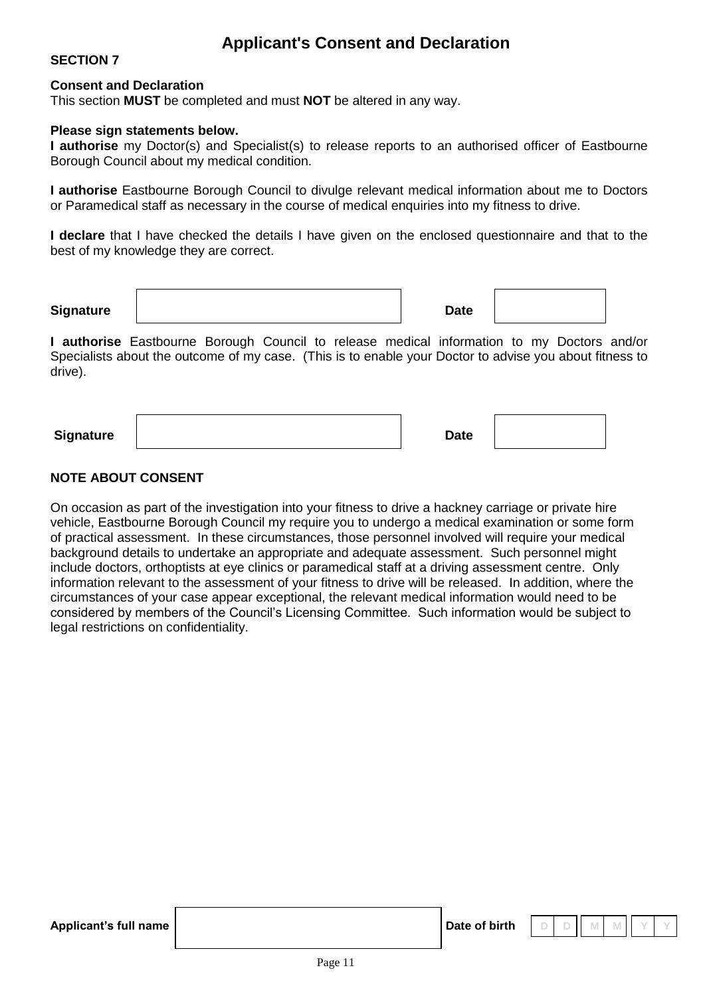# **Applicant's Consent and Declaration**

# **SECTION 7**

#### **Consent and Declaration**

This section **MUST** be completed and must **NOT** be altered in any way.

#### **Please sign statements below.**

**I authorise** my Doctor(s) and Specialist(s) to release reports to an authorised officer of Eastbourne Borough Council about my medical condition.

**I authorise** Eastbourne Borough Council to divulge relevant medical information about me to Doctors or Paramedical staff as necessary in the course of medical enquiries into my fitness to drive.

**I declare** that I have checked the details I have given on the enclosed questionnaire and that to the best of my knowledge they are correct.

**Signature Date** 

**I authorise** Eastbourne Borough Council to release medical information to my Doctors and/or Specialists about the outcome of my case. (This is to enable your Doctor to advise you about fitness to drive).

**Signature Date** 

# **NOTE ABOUT CONSENT**

On occasion as part of the investigation into your fitness to drive a hackney carriage or private hire vehicle, Eastbourne Borough Council my require you to undergo a medical examination or some form of practical assessment. In these circumstances, those personnel involved will require your medical background details to undertake an appropriate and adequate assessment. Such personnel might include doctors, orthoptists at eye clinics or paramedical staff at a driving assessment centre. Only information relevant to the assessment of your fitness to drive will be released. In addition, where the circumstances of your case appear exceptional, the relevant medical information would need to be considered by members of the Council's Licensing Committee. Such information would be subject to legal restrictions on confidentiality.

**Applicant's full name dependent of birth**  $\blacksquare$  Date of birth

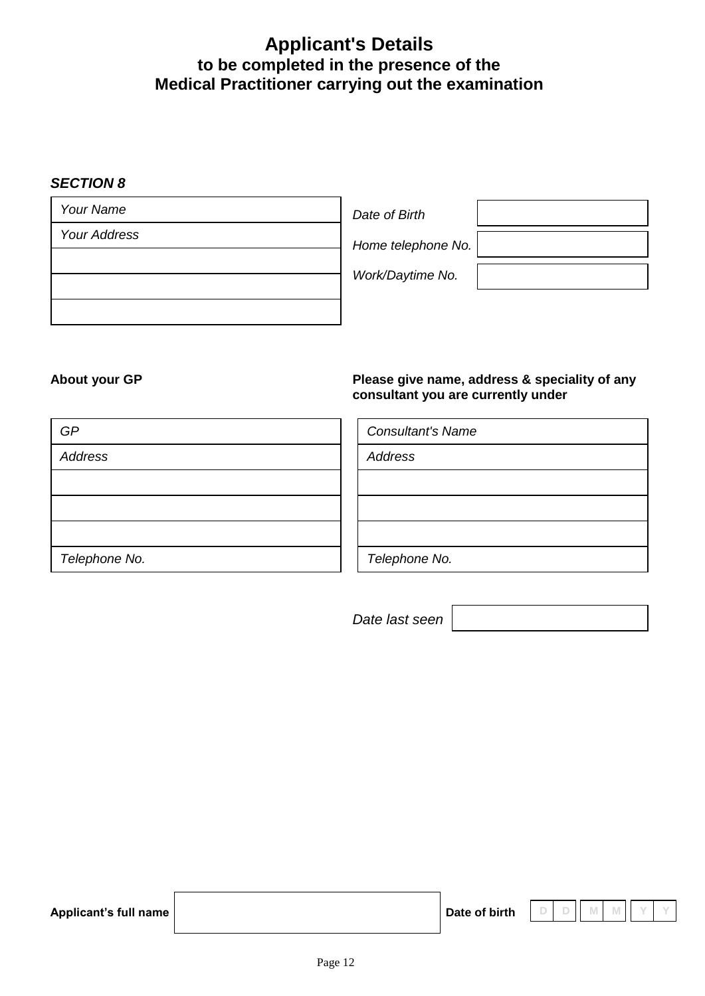# **Applicant's Details to be completed in the presence of the Medical Practitioner carrying out the examination**

# *SECTION 8*

# **About your GP Please give name, address & speciality of any consultant you are currently under**

| GP            | <b>Consultant's Name</b> |
|---------------|--------------------------|
| Address       | Address                  |
|               |                          |
|               |                          |
|               |                          |
| Telephone No. | Telephone No.            |

*Date last seen*

| Applicant's full name |  |  |  |  |
|-----------------------|--|--|--|--|